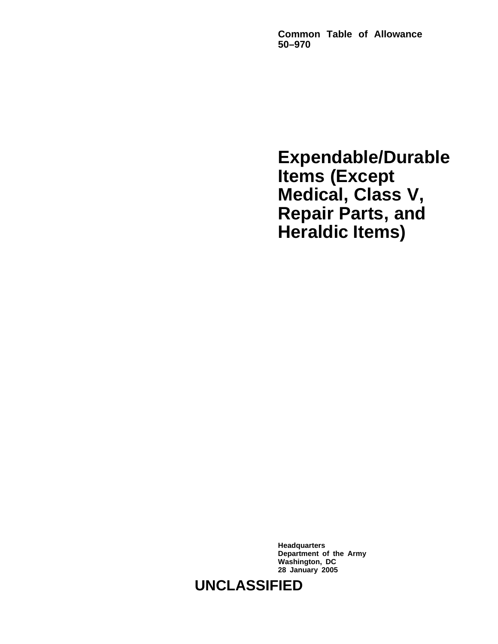**Common Table of Allowance 50–970**

**Expendable/Durable Items (Except Medical, Class V, Repair Parts, and Heraldic Items)**

**Headquarters Department of the Army Washington, DC 28 January 2005**

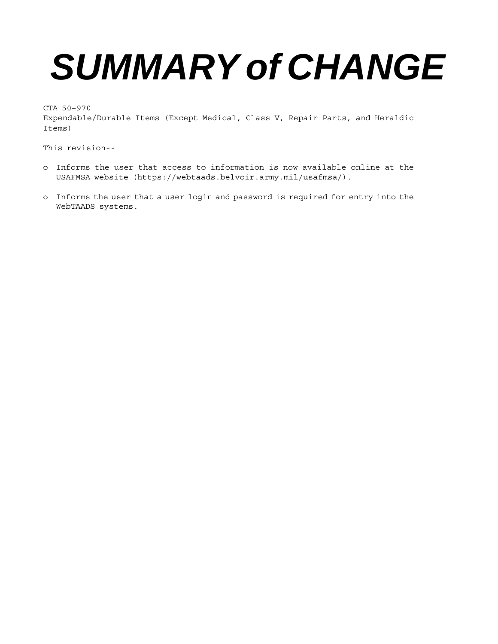# *SUMMARY of CHANGE*

CTA 50–970 Expendable/Durable Items (Except Medical, Class V, Repair Parts, and Heraldic Items)

This revision--

- o Informs the user that access to information is now available online at the USAFMSA website (https://webtaads.belvoir.army.mil/usafmsa/).
- o Informs the user that a user login and password is required for entry into the WebTAADS systems.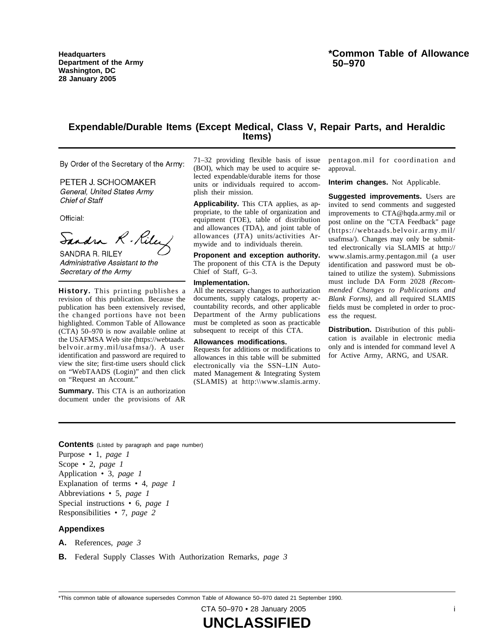**Headquarters Department of the Army Washington, DC 28 January 2005**

# **Expendable/Durable Items (Except Medical, Class V, Repair Parts, and Heraldic Items)**

By Order of the Secretary of the Army:

PETER J. SCHOOMAKER General, United States Army **Chief of Staff** 

Official:

Sandra R. Rila SANDRA R. RILEY

Administrative Assistant to the Secretary of the Army

History. This printing publishes a revision of this publication. Because the publication has been extensively revised, the changed portions have not been highlighted. Common Table of Allowance (CTA) 50–970 is now available online at the USAFMSA Web site (https://webtaads. belvoir.army.mil/usafmsa/). A user identification and password are required to view the site; first-time users should click on "WebTAADS (Login)" and then click on "Request an Account."

**Summary.** This CTA is an authorization document under the provisions of AR

71-32 providing flexible basis of issue (BOI), which may be used to acquire selected expendable/durable items for those units or individuals required to accomplish their mission.

**Applicability.** This CTA applies, as appropriate, to the table of organization and equipment (TOE), table of distribution and allowances (TDA), and joint table of allowances (JTA) units/activities Armywide and to individuals therein.

**Proponent and exception authority.** The proponent of this CTA is the Deputy Chief of Staff, G–3.

#### **Implementation.**

All the necessary changes to authorization documents, supply catalogs, property accountability records, and other applicable Department of the Army publications must be completed as soon as practicable subsequent to receipt of this CTA.

#### **Allowances modifications.**

Requests for additions or modifications to allowances in this table will be submitted electronically via the SSN-LIN Automated Management & Integrating System  $(SLAMIS)$  at http:\\www.slamis.army.

pentagon.mil for coordination and approval.

**Interim changes.** Not Applicable.

**Suggested improvements.** Users are invited to send comments and suggested improvements to CTA@hqda.army.mil or post online on the "CTA Feedback" page  $(https://webtaads.belvoir.army.mil/$ usafmsa/). Changes may only be submitted electronically via SLAMIS at http:// www.slamis.army.pentagon.mil (a user identification and password must be obtained to utilize the system). Submissions must include DA Form 2028 (Recom*mended Changes to Publications and Blank Forms)*, and all required SLAMIS fields must be completed in order to process the request.

**Distribution.** Distribution of this publication is available in electronic media only and is intended for command level A for Active Army, ARNG, and USAR.

**Contents** (Listed by paragraph and page number)

Purpose • 1, *page 1* Scope • 2, *page 1* Application • 3, *page 1* Explanation of terms • 4, *page 1* Abbreviations • 5, *page 1* Special instructions • 6, *page 1* Responsibilities • 7, *page 2*

#### **Appendixes**

**A.** References, *page 3*

**B.** Federal Supply Classes With Authorization Remarks, *page 3*

\*This common table of allowance supersedes Common Table of Allowance 50–970 dated 21 September 1990.

CTA 50–970 • 28 January 2005 i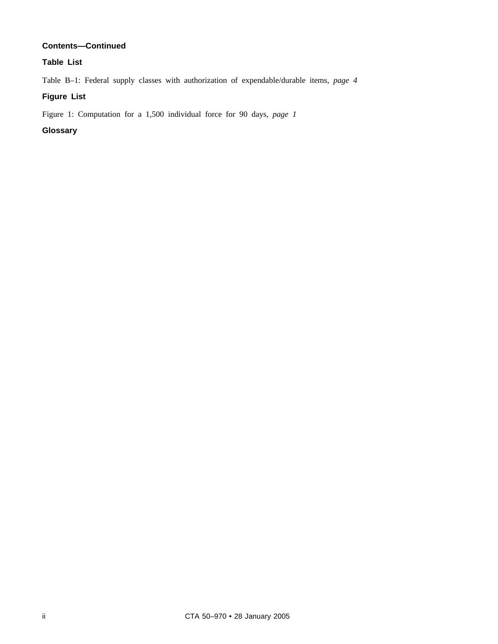# **Contents—Continued**

# **Table List**

Table B–1: Federal supply classes with authorization of expendable/durable items, *page 4*

# **Figure List**

Figure 1: Computation for a 1,500 individual force for 90 days, *page 1*

# **Glossary**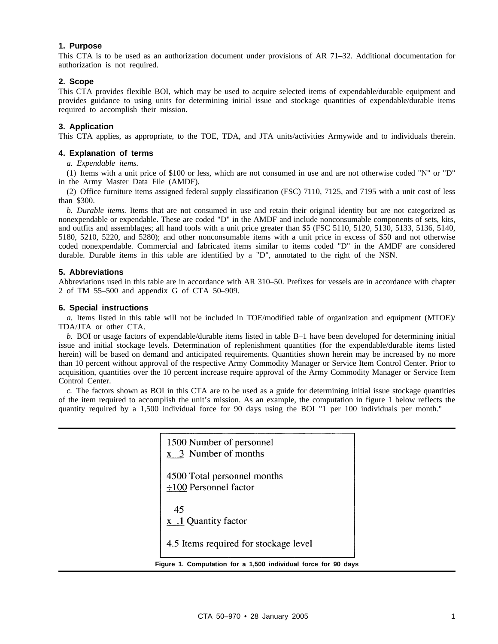#### **1. Purpose**

This CTA is to be used as an authorization document under provisions of AR 71–32. Additional documentation for authorization is not required.

#### **2. Scope**

This CTA provides flexible BOI, which may be used to acquire selected items of expendable/durable equipment and provides guidance to using units for determining initial issue and stockage quantities of expendable/durable items required to accomplish their mission.

#### **3. Application**

This CTA applies, as appropriate, to the TOE, TDA, and JTA units/activities Armywide and to individuals therein.

#### **4. Explanation of terms**

*a. Expendable items.*

(1) Items with a unit price of \$100 or less, which are not consumed in use and are not otherwise coded "N" or "D" in the Army Master Data File (AMDF).

(2) Office furniture items assigned federal supply classification (FSC) 7110, 7125, and 7195 with a unit cost of less than \$300.

*b. Durable items.* Items that are not consumed in use and retain their original identity but are not categorized as nonexpendable or expendable. These are coded "D" in the AMDF and include nonconsumable components of sets, kits, and outfits and assemblages; all hand tools with a unit price greater than \$5 (FSC 5110, 5120, 5130, 5133, 5136, 5140, 5180, 5210, 5220, and 5280); and other nonconsumable items with a unit price in excess of \$50 and not otherwise coded nonexpendable. Commercial and fabricated items similar to items coded "D" in the AMDF are considered durable. Durable items in this table are identified by a "D", annotated to the right of the NSN.

#### **5. Abbreviations**

Abbreviations used in this table are in accordance with AR 310–50. Prefixes for vessels are in accordance with chapter 2 of TM 55–500 and appendix G of CTA 50–909.

#### **6. Special instructions**

*a.* Items listed in this table will not be included in TOE/modified table of organization and equipment (MTOE)/ TDA/JTA or other CTA.

*b.* BOI or usage factors of expendable/durable items listed in table B–1 have been developed for determining initial issue and initial stockage levels. Determination of replenishment quantities (for the expendable/durable items listed herein) will be based on demand and anticipated requirements. Quantities shown herein may be increased by no more than 10 percent without approval of the respective Army Commodity Manager or Service Item Control Center. Prior to acquisition, quantities over the 10 percent increase require approval of the Army Commodity Manager or Service Item Control Center.

*c.* The factors shown as BOI in this CTA are to be used as a guide for determining initial issue stockage quantities of the item required to accomplish the unit's mission. As an example, the computation in figure 1 below reflects the quantity required by a 1,500 individual force for 90 days using the BOI "1 per 100 individuals per month."

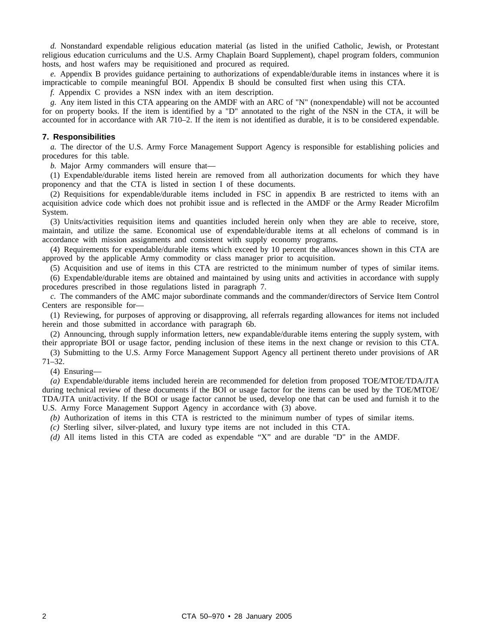*d.* Nonstandard expendable religious education material (as listed in the unified Catholic, Jewish, or Protestant religious education curriculums and the U.S. Army Chaplain Board Supplement), chapel program folders, communion hosts, and host wafers may be requisitioned and procured as required.

*e.* Appendix B provides guidance pertaining to authorizations of expendable/durable items in instances where it is impracticable to compile meaningful BOI. Appendix B should be consulted first when using this CTA.

*f.* Appendix C provides a NSN index with an item description.

*g.* Any item listed in this CTA appearing on the AMDF with an ARC of "N" (nonexpendable) will not be accounted for on property books. If the item is identified by a "D" annotated to the right of the NSN in the CTA, it will be accounted for in accordance with AR 710–2. If the item is not identified as durable, it is to be considered expendable.

#### **7. Responsibilities**

*a.* The director of the U.S. Army Force Management Support Agency is responsible for establishing policies and procedures for this table.

*b.* Major Army commanders will ensure that—

(1) Expendable/durable items listed herein are removed from all authorization documents for which they have proponency and that the CTA is listed in section I of these documents.

(2) Requisitions for expendable/durable items included in FSC in appendix B are restricted to items with an acquisition advice code which does not prohibit issue and is reflected in the AMDF or the Army Reader Microfilm System.

(3) Units/activities requisition items and quantities included herein only when they are able to receive, store, maintain, and utilize the same. Economical use of expendable/durable items at all echelons of command is in accordance with mission assignments and consistent with supply economy programs.

(4) Requirements for expendable/durable items which exceed by 10 percent the allowances shown in this CTA are approved by the applicable Army commodity or class manager prior to acquisition.

(5) Acquisition and use of items in this CTA are restricted to the minimum number of types of similar items.

(6) Expendable/durable items are obtained and maintained by using units and activities in accordance with supply procedures prescribed in those regulations listed in paragraph 7.

*c.* The commanders of the AMC major subordinate commands and the commander/directors of Service Item Control Centers are responsible for—

(1) Reviewing, for purposes of approving or disapproving, all referrals regarding allowances for items not included herein and those submitted in accordance with paragraph 6b.

(2) Announcing, through supply information letters, new expandable/durable items entering the supply system, with their appropriate BOI or usage factor, pending inclusion of these items in the next change or revision to this CTA.

(3) Submitting to the U.S. Army Force Management Support Agency all pertinent thereto under provisions of AR 71–32.

(4) Ensuring—

*(a)* Expendable/durable items included herein are recommended for deletion from proposed TOE/MTOE/TDA/JTA during technical review of these documents if the BOI or usage factor for the items can be used by the TOE/MTOE/ TDA/JTA unit/activity. If the BOI or usage factor cannot be used, develop one that can be used and furnish it to the U.S. Army Force Management Support Agency in accordance with (3) above.

*(b)* Authorization of items in this CTA is restricted to the minimum number of types of similar items.

*(c)* Sterling silver, silver-plated, and luxury type items are not included in this CTA.

*(d)* All items listed in this CTA are coded as expendable "X" and are durable "D" in the AMDF.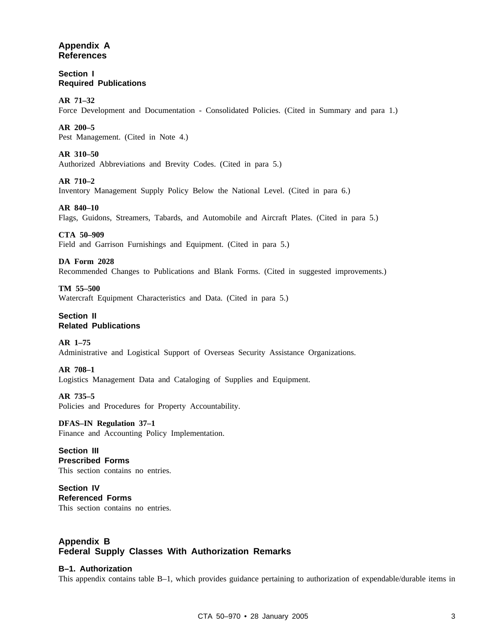# **Appendix A References**

**Section I Required Publications**

**AR 71–32** Force Development and Documentation - Consolidated Policies. (Cited in Summary and para 1.)

# **AR 200–5**

Pest Management. (Cited in Note 4.)

# **AR 310–50**

Authorized Abbreviations and Brevity Codes. (Cited in para 5.)

# **AR 710–2**

Inventory Management Supply Policy Below the National Level. (Cited in para 6.)

# **AR 840–10**

Flags, Guidons, Streamers, Tabards, and Automobile and Aircraft Plates. (Cited in para 5.)

# **CTA 50–909**

Field and Garrison Furnishings and Equipment. (Cited in para 5.)

# **DA Form 2028**

Recommended Changes to Publications and Blank Forms. (Cited in suggested improvements.)

# **TM 55–500**

Watercraft Equipment Characteristics and Data. (Cited in para 5.)

# **Section II Related Publications**

# **AR 1–75**

Administrative and Logistical Support of Overseas Security Assistance Organizations.

# **AR 708–1**

Logistics Management Data and Cataloging of Supplies and Equipment.

# **AR 735–5**

Policies and Procedures for Property Accountability.

# **DFAS–IN Regulation 37–1**

Finance and Accounting Policy Implementation.

# **Section III Prescribed Forms** This section contains no entries.

**Section IV Referenced Forms** This section contains no entries.

# **Appendix B Federal Supply Classes With Authorization Remarks**

# **B–1. Authorization**

This appendix contains table B–1, which provides guidance pertaining to authorization of expendable/durable items in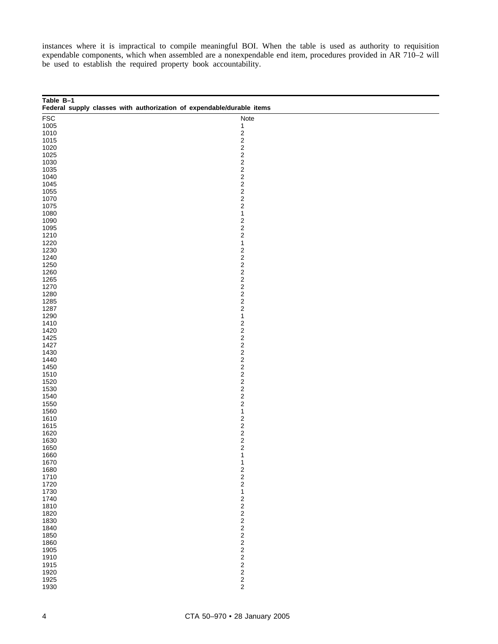instances where it is impractical to compile meaningful BOI. When the table is used as authority to requisition expendable components, which when assembled are a nonexpendable end item, procedures provided in AR 710–2 will be used to establish the required property book accountability.

| Table B-1<br>Federal supply classes with authorization of expendable/durable items |                                                    |
|------------------------------------------------------------------------------------|----------------------------------------------------|
| <b>FSC</b>                                                                         | Note                                               |
| 1005                                                                               | 1                                                  |
| 1010                                                                               | $\overline{\mathbf{c}}$                            |
| 1015                                                                               | $\overline{\mathbf{c}}$                            |
| 1020                                                                               |                                                    |
| 1025                                                                               |                                                    |
| 1030                                                                               |                                                    |
| 1035                                                                               |                                                    |
| 1040                                                                               |                                                    |
| 1045                                                                               | 22222                                              |
| 1055                                                                               |                                                    |
| 1070                                                                               | $\overline{\mathbf{c}}$                            |
| 1075                                                                               | $\overline{\mathbf{c}}$<br>$\overline{\mathbf{c}}$ |
| 1080                                                                               | $\mathbf{1}$                                       |
| 1090                                                                               |                                                    |
| 1095                                                                               |                                                    |
| 1210                                                                               | $\begin{array}{c} 2 \\ 2 \\ 2 \end{array}$         |
| 1220                                                                               | $\mathbf{1}$                                       |
| 1230                                                                               | $\overline{\mathbf{c}}$                            |
| 1240                                                                               |                                                    |
| 1250                                                                               | $\overline{\mathbf{c}}$<br>$\overline{\mathbf{c}}$ |
| 1260                                                                               | $\overline{\mathbf{c}}$                            |
| 1265                                                                               |                                                    |
| 1270                                                                               |                                                    |
| 1280                                                                               |                                                    |
| 1285                                                                               | $2222$<br>$222$                                    |
| 1287                                                                               |                                                    |
| 1290                                                                               | $\mathbf{1}$                                       |
| 1410                                                                               | $\overline{\mathbf{c}}$                            |
| 1420                                                                               | $\overline{\mathbf{c}}$                            |
| 1425                                                                               | $\overline{\mathbf{c}}$                            |
| 1427                                                                               | $\overline{\mathbf{c}}$                            |
| 1430                                                                               |                                                    |
| 1440                                                                               | 22222                                              |
| 1450                                                                               |                                                    |
| 1510                                                                               |                                                    |
| 1520                                                                               |                                                    |
| 1530                                                                               |                                                    |
| 1540                                                                               | $\overline{\mathbf{c}}$                            |
| 1550                                                                               | 2                                                  |
| 1560                                                                               | 1                                                  |
| 1610                                                                               | $\overline{\mathbf{c}}$                            |
| 1615                                                                               |                                                    |
| 1620                                                                               |                                                    |
| 1630                                                                               |                                                    |
| 1650                                                                               | $\begin{array}{c}\n2 \\ 2 \\ 2\n\end{array}$       |
| 1660                                                                               | 1                                                  |
| 1670                                                                               | 1                                                  |
| 1680                                                                               |                                                    |
| 1710                                                                               |                                                    |
| 1720                                                                               | $\begin{array}{c} 2 \\ 2 \\ 2 \end{array}$         |
| 1730                                                                               | $\mathbf{1}$                                       |
| 1740                                                                               |                                                    |
| 1810                                                                               |                                                    |
| 1820                                                                               |                                                    |
| 1830                                                                               |                                                    |
| 1840                                                                               |                                                    |
| 1850                                                                               |                                                    |
| 1860                                                                               |                                                    |
| 1905                                                                               |                                                    |
| 1910                                                                               |                                                    |
| 1915                                                                               |                                                    |
| 1920                                                                               |                                                    |
| 1925                                                                               | 22222222222                                        |
| 1930                                                                               |                                                    |
|                                                                                    |                                                    |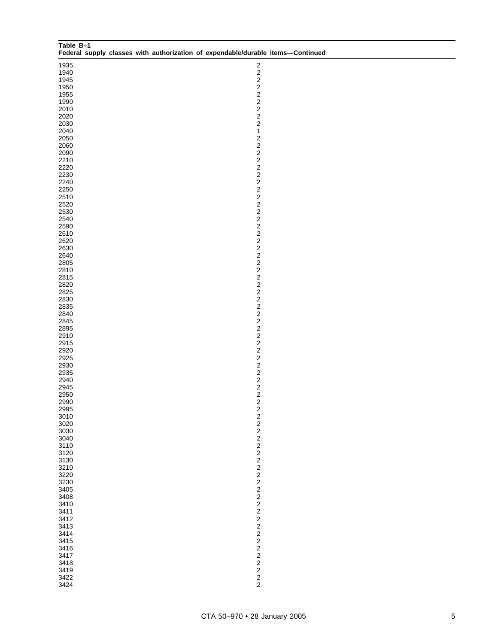| Table B-1<br>Federal supply classes with authorization of expendable/durable items-Continued |                                                    |
|----------------------------------------------------------------------------------------------|----------------------------------------------------|
| 1935                                                                                         | $\overline{\mathbf{c}}$                            |
| 1940                                                                                         | $\overline{c}$                                     |
| 1945                                                                                         | $\mathbf{2}$<br>$\overline{a}$                     |
| 1950<br>1955                                                                                 | $\overline{c}$                                     |
| 1990                                                                                         | $\overline{c}$                                     |
| 2010                                                                                         | $\overline{c}$                                     |
| 2020                                                                                         | $\overline{c}$                                     |
| 2030                                                                                         | $\overline{\mathbf{c}}$                            |
| 2040                                                                                         | $\mathbf{1}$<br>$\overline{\mathbf{c}}$            |
| 2050<br>2060                                                                                 | $\overline{c}$                                     |
| 2090                                                                                         | $\overline{c}$                                     |
| 2210                                                                                         | $\overline{c}$                                     |
| 2220                                                                                         | $\overline{c}$                                     |
| 2230                                                                                         | $\overline{c}$                                     |
| 2240<br>2250                                                                                 | $\overline{c}$<br>$\overline{c}$                   |
| 2510                                                                                         | $\overline{c}$                                     |
| 2520                                                                                         | $\overline{c}$                                     |
| 2530                                                                                         | $\overline{c}$                                     |
| 2540                                                                                         | $\overline{c}$                                     |
| 2590                                                                                         | $\overline{c}$                                     |
| 2610                                                                                         | $\overline{c}$<br>$\overline{c}$                   |
| 2620<br>2630                                                                                 | $\overline{c}$                                     |
| 2640                                                                                         | $\overline{c}$                                     |
| 2805                                                                                         | $\overline{c}$                                     |
| 2810                                                                                         | $\overline{c}$                                     |
| 2815                                                                                         | $\overline{c}$                                     |
| 2820                                                                                         | $\overline{c}$                                     |
| 2825<br>2830                                                                                 | $\overline{c}$<br>$\overline{c}$                   |
| 2835                                                                                         | $\overline{c}$                                     |
| 2840                                                                                         | $\overline{c}$                                     |
| 2845                                                                                         | $\overline{c}$                                     |
| 2895                                                                                         | $\overline{c}$                                     |
| 2910                                                                                         | $\overline{c}$                                     |
| 2915<br>2920                                                                                 | $\overline{c}$<br>$\overline{c}$                   |
| 2925                                                                                         | $\overline{c}$                                     |
| 2930                                                                                         | $\overline{c}$                                     |
| 2935                                                                                         | $\overline{\mathbf{c}}$                            |
| 2940                                                                                         | $\overline{\mathbf{c}}$                            |
| 2945                                                                                         | $\overline{\mathbf{c}}$<br>$\overline{c}$          |
| 2950<br>2990                                                                                 | $\overline{\mathbf{c}}$                            |
| 2995                                                                                         |                                                    |
| 3010                                                                                         | $\frac{2}{2}$                                      |
| 3020                                                                                         | $\overline{\mathbf{c}}$                            |
| 3030                                                                                         | $\overline{\mathbf{c}}$                            |
| 3040<br>3110                                                                                 | $\overline{\mathbf{c}}$<br>$\overline{\mathbf{c}}$ |
| 3120                                                                                         | $\overline{\mathbf{c}}$                            |
| 3130                                                                                         | $\overline{\mathbf{c}}$                            |
| 3210                                                                                         | $\overline{\mathbf{c}}$                            |
| 3220                                                                                         | $\overline{\mathbf{c}}$                            |
| 3230                                                                                         | $\overline{\mathbf{c}}$                            |
| 3405                                                                                         | $\overline{\mathbf{c}}$                            |
| 3408<br>3410                                                                                 | $\overline{\mathbf{c}}$<br>$\overline{\mathbf{c}}$ |
| 3411                                                                                         | $\overline{\mathbf{c}}$                            |
| 3412                                                                                         | $\overline{\mathbf{c}}$                            |
| 3413                                                                                         | $\overline{\mathbf{c}}$                            |
| 3414                                                                                         | $\overline{\mathbf{c}}$                            |
| 3415                                                                                         | $\overline{\mathbf{c}}$                            |
| 3416                                                                                         | $\overline{\mathbf{c}}$<br>$\overline{\mathbf{c}}$ |
| 3417<br>3418                                                                                 | $\overline{\mathbf{c}}$                            |
| 3419                                                                                         | $\overline{\mathbf{c}}$                            |
| 3422                                                                                         | $\overline{\mathbf{c}}$                            |
| 3424                                                                                         | $\overline{c}$                                     |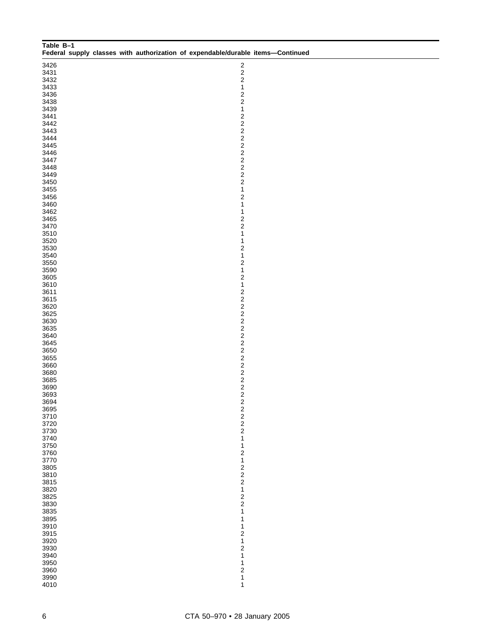| Table B-1<br>Federal supply classes with authorization of expendable/durable items-Continued |                                                    |  |
|----------------------------------------------------------------------------------------------|----------------------------------------------------|--|
| 3426                                                                                         | 2                                                  |  |
| 3431                                                                                         | $\overline{\mathbf{c}}$                            |  |
| 3432                                                                                         | $\overline{\mathbf{c}}$                            |  |
| 3433                                                                                         | $\mathbf{1}$<br>$\overline{\mathbf{c}}$            |  |
| 3436<br>3438                                                                                 | $\overline{\mathbf{c}}$                            |  |
| 3439                                                                                         | $\mathbf{1}$                                       |  |
| 3441                                                                                         | $\overline{\mathbf{c}}$                            |  |
| 3442                                                                                         | $\overline{\mathbf{c}}$                            |  |
| 3443                                                                                         | $\overline{\mathbf{c}}$                            |  |
| 3444                                                                                         | $\overline{\mathbf{c}}$                            |  |
| 3445                                                                                         | $\overline{\mathbf{c}}$                            |  |
| 3446<br>3447                                                                                 | $\overline{\mathbf{c}}$<br>$\overline{\mathbf{c}}$ |  |
| 3448                                                                                         | $\overline{\mathbf{c}}$                            |  |
| 3449                                                                                         | $\overline{\mathbf{c}}$                            |  |
| 3450                                                                                         | $\overline{\mathbf{c}}$                            |  |
| 3455                                                                                         | $\mathbf{1}$                                       |  |
| 3456                                                                                         | $\overline{\mathbf{c}}$                            |  |
| 3460                                                                                         | 1<br>$\mathbf{1}$                                  |  |
| 3462<br>3465                                                                                 | $\overline{\mathbf{c}}$                            |  |
| 3470                                                                                         | $\overline{\mathbf{c}}$                            |  |
| 3510                                                                                         | $\mathbf{1}$                                       |  |
| 3520                                                                                         | $\mathbf{1}$                                       |  |
| 3530                                                                                         | $\overline{\mathbf{c}}$                            |  |
| 3540                                                                                         | $\mathbf{1}$                                       |  |
| 3550                                                                                         | $\overline{\mathbf{c}}$<br>$\mathbf{1}$            |  |
| 3590<br>3605                                                                                 | $\overline{\mathbf{c}}$                            |  |
| 3610                                                                                         | $\mathbf{1}$                                       |  |
| 3611                                                                                         | $\overline{\mathbf{c}}$                            |  |
| 3615                                                                                         | $\overline{\mathbf{c}}$                            |  |
| 3620                                                                                         | $\overline{\mathbf{c}}$                            |  |
| 3625                                                                                         | $\overline{\mathbf{c}}$                            |  |
| 3630<br>3635                                                                                 | $\overline{\mathbf{c}}$<br>$\overline{\mathbf{c}}$ |  |
| 3640                                                                                         | $\overline{\mathbf{c}}$                            |  |
| 3645                                                                                         | $\overline{\mathbf{c}}$                            |  |
| 3650                                                                                         | $\overline{\mathbf{c}}$                            |  |
| 3655                                                                                         | $\overline{\mathbf{c}}$                            |  |
| 3660                                                                                         | $\overline{\mathbf{c}}$                            |  |
| 3680                                                                                         | $\overline{\mathbf{c}}$<br>$\overline{\mathbf{c}}$ |  |
| 3685<br>3690                                                                                 |                                                    |  |
| 3693                                                                                         | $\frac{2}{2}$                                      |  |
| 3694                                                                                         | $\overline{\mathbf{c}}$                            |  |
| 3695                                                                                         |                                                    |  |
| 3710                                                                                         | $\begin{array}{c}\n2 \\ 2 \\ 2\n\end{array}$       |  |
| 3720                                                                                         |                                                    |  |
| 3730<br>3740                                                                                 | $\overline{\mathbf{1}}$                            |  |
| 3750                                                                                         | $\mathbf{1}$                                       |  |
| 3760                                                                                         | $\overline{\mathbf{c}}$                            |  |
| 3770                                                                                         | $\overline{\mathbf{1}}$                            |  |
| 3805                                                                                         | $\begin{array}{c} 2 \\ 2 \\ 2 \end{array}$         |  |
| 3810                                                                                         |                                                    |  |
| 3815<br>3820                                                                                 | $\mathbf{1}$                                       |  |
| 3825                                                                                         |                                                    |  |
| 3830                                                                                         | $\frac{2}{2}$                                      |  |
| 3835                                                                                         | $\overline{\mathbf{1}}$                            |  |
| 3895                                                                                         | $\mathbf{1}$                                       |  |
| 3910                                                                                         | $\mathbf 1$                                        |  |
| 3915                                                                                         | $\overline{\mathbf{c}}$<br>$\overline{\mathbf{1}}$ |  |
| 3920<br>3930                                                                                 | $\overline{\mathbf{c}}$                            |  |
| 3940                                                                                         | $\mathbf{1}$                                       |  |
| 3950                                                                                         | $\mathbf 1$                                        |  |
| 3960                                                                                         | $\overline{\mathbf{c}}$                            |  |
| 3990                                                                                         | $\overline{\mathbf{1}}$                            |  |
| 4010                                                                                         | 1                                                  |  |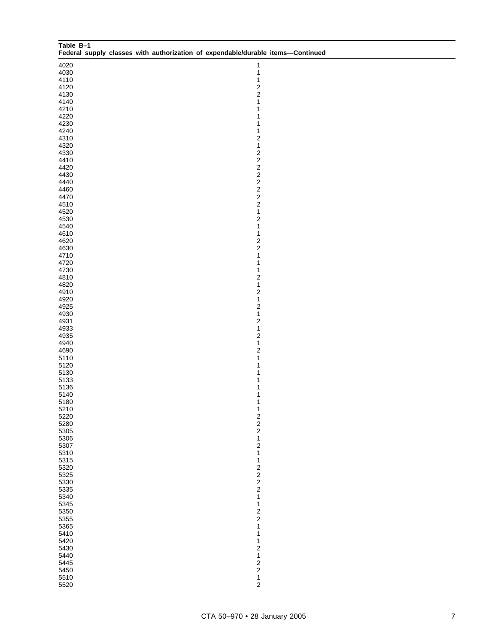| Table B-1    |  |  | Federal supply classes with authorization of expendable/durable items-Continued |  |
|--------------|--|--|---------------------------------------------------------------------------------|--|
| 4020         |  |  | $\mathbf{1}$                                                                    |  |
| 4030         |  |  | 1                                                                               |  |
| 4110         |  |  | 1                                                                               |  |
| 4120         |  |  | $\overline{\mathbf{c}}$                                                         |  |
| 4130<br>4140 |  |  | $\overline{c}$<br>1                                                             |  |
| 4210         |  |  | 1                                                                               |  |
| 4220         |  |  | 1                                                                               |  |
| 4230         |  |  | 1                                                                               |  |
| 4240<br>4310 |  |  | $\mathbf 1$<br>$\overline{\mathbf{c}}$                                          |  |
| 4320         |  |  | $\mathbf{1}$                                                                    |  |
| 4330         |  |  | $\overline{\mathbf{c}}$                                                         |  |
| 4410<br>4420 |  |  | $\overline{c}$<br>$\overline{c}$                                                |  |
| 4430         |  |  | $\overline{\mathbf{c}}$                                                         |  |
| 4440         |  |  | $\overline{c}$                                                                  |  |
| 4460         |  |  | $\overline{\mathbf{c}}$                                                         |  |
| 4470<br>4510 |  |  | $\overline{c}$<br>$\overline{c}$                                                |  |
| 4520         |  |  | $\mathbf{1}$                                                                    |  |
| 4530         |  |  | $\overline{c}$                                                                  |  |
| 4540         |  |  | $\mathbf{1}$                                                                    |  |
| 4610<br>4620 |  |  | 1<br>$\overline{\mathbf{c}}$                                                    |  |
| 4630         |  |  | $\overline{\mathbf{c}}$                                                         |  |
| 4710         |  |  | $\mathbf{1}$                                                                    |  |
| 4720<br>4730 |  |  | $\mathbf{1}$<br>$\mathbf 1$                                                     |  |
| 4810         |  |  | $\overline{\mathbf{c}}$                                                         |  |
| 4820         |  |  | $\mathbf{1}$                                                                    |  |
| 4910         |  |  | $\sqrt{2}$                                                                      |  |
| 4920<br>4925 |  |  | $\mathbf{1}$<br>$\overline{\mathbf{c}}$                                         |  |
| 4930         |  |  | $\mathbf{1}$                                                                    |  |
| 4931         |  |  | $\sqrt{2}$                                                                      |  |
| 4933         |  |  | $\mathbf{1}$                                                                    |  |
| 4935<br>4940 |  |  | $\overline{\mathbf{c}}$<br>$\mathbf{1}$                                         |  |
| 4690         |  |  | $\overline{\mathbf{c}}$                                                         |  |
| 5110         |  |  | 1                                                                               |  |
| 5120<br>5130 |  |  | 1<br>1                                                                          |  |
| 5133         |  |  | 1                                                                               |  |
| 5136         |  |  | 1                                                                               |  |
| 5140         |  |  | 1                                                                               |  |
| 5180<br>5210 |  |  | 1<br>1                                                                          |  |
| 5220         |  |  |                                                                                 |  |
| 5280         |  |  | $\begin{array}{c} 2 \\ 2 \\ 2 \end{array}$                                      |  |
| 5305<br>5306 |  |  | $\mathbf{1}$                                                                    |  |
| 5307         |  |  | $\overline{\mathbf{c}}$                                                         |  |
| 5310         |  |  | $\mathbf{1}$                                                                    |  |
| 5315         |  |  | $\mathbf{1}$                                                                    |  |
| 5320<br>5325 |  |  | $\overline{\mathbf{c}}$                                                         |  |
| 5330         |  |  | $\begin{array}{c} 2 \\ 2 \\ 2 \end{array}$                                      |  |
| 5335         |  |  |                                                                                 |  |
| 5340<br>5345 |  |  | $\mathbf{1}$<br>$\mathbf{1}$                                                    |  |
| 5350         |  |  | $\overline{\mathbf{c}}$                                                         |  |
| 5355         |  |  | $\overline{c}$                                                                  |  |
| 5365         |  |  | $\mathbf{1}$                                                                    |  |
| 5410<br>5420 |  |  | 1<br>1                                                                          |  |
| 5430         |  |  | $\overline{\mathbf{c}}$                                                         |  |
| 5440         |  |  | $\mathbf{1}$                                                                    |  |
| 5445         |  |  | $\overline{\mathbf{c}}$<br>$\overline{\mathbf{c}}$                              |  |
| 5450<br>5510 |  |  | $\mathbf{1}$                                                                    |  |
| 5520         |  |  | $\overline{c}$                                                                  |  |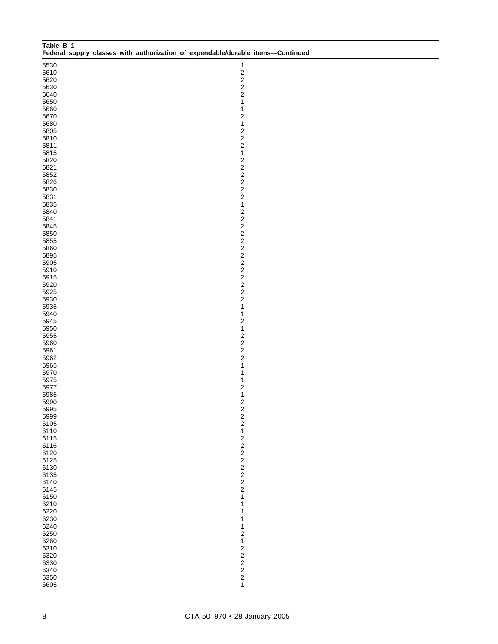| Table B-1    |  |  | Federal supply classes with authorization of expendable/durable items-Continued |  |
|--------------|--|--|---------------------------------------------------------------------------------|--|
| 5530         |  |  | $\mathbf{1}$                                                                    |  |
| 5610         |  |  | $\overline{c}$                                                                  |  |
| 5620         |  |  | $\overline{c}$                                                                  |  |
| 5630         |  |  | $\overline{c}$                                                                  |  |
| 5640         |  |  | $\overline{c}$<br>$\mathbf{1}$                                                  |  |
| 5650<br>5660 |  |  | $\mathbf{1}$                                                                    |  |
| 5670         |  |  | $\overline{\mathbf{c}}$                                                         |  |
| 5680         |  |  | $\mathbf{1}$                                                                    |  |
| 5805         |  |  | $\overline{\mathbf{c}}$                                                         |  |
| 5810         |  |  | $\overline{c}$                                                                  |  |
| 5811         |  |  | $\overline{c}$                                                                  |  |
| 5815         |  |  | $\mathbf{1}$                                                                    |  |
| 5820         |  |  | $\overline{\mathbf{c}}$<br>$\overline{c}$                                       |  |
| 5821<br>5852 |  |  | $\overline{\mathbf{c}}$                                                         |  |
| 5826         |  |  | $\overline{\mathbf{c}}$                                                         |  |
| 5830         |  |  | $\overline{\mathbf{c}}$                                                         |  |
| 5831         |  |  | $\overline{c}$                                                                  |  |
| 5835         |  |  | $\mathbf{1}$                                                                    |  |
| 5840         |  |  | $\overline{c}$                                                                  |  |
| 5841         |  |  | $\overline{\mathbf{c}}$                                                         |  |
| 5845         |  |  | $\overline{\mathbf{c}}$                                                         |  |
| 5850<br>5855 |  |  | $\overline{\mathbf{c}}$<br>$\overline{\mathbf{c}}$                              |  |
| 5860         |  |  | $\overline{\mathbf{c}}$                                                         |  |
| 5895         |  |  | $\overline{\mathbf{c}}$                                                         |  |
| 5905         |  |  | $\overline{\mathbf{c}}$                                                         |  |
| 5910         |  |  | $\overline{\mathbf{c}}$                                                         |  |
| 5915         |  |  | $\overline{\mathbf{c}}$                                                         |  |
| 5920         |  |  | $\overline{\mathbf{c}}$                                                         |  |
| 5925         |  |  | $\overline{\mathbf{c}}$                                                         |  |
| 5930<br>5935 |  |  | $\overline{c}$<br>$\mathbf{1}$                                                  |  |
| 5940         |  |  | $\mathbf{1}$                                                                    |  |
| 5945         |  |  | $\overline{\mathbf{c}}$                                                         |  |
| 5950         |  |  | $\mathbf{1}$                                                                    |  |
| 5955         |  |  | $\boldsymbol{2}$                                                                |  |
| 5960         |  |  | $\overline{c}$                                                                  |  |
| 5961         |  |  | $\overline{\mathbf{c}}$                                                         |  |
| 5962         |  |  | $\overline{c}$                                                                  |  |
| 5965<br>5970 |  |  | $\mathbf{1}$<br>$\mathbf{1}$                                                    |  |
| 5975         |  |  | $\mathbf{1}$                                                                    |  |
| 5977         |  |  | $\overline{\mathbf{c}}$                                                         |  |
| 5985         |  |  | $\mathbf{1}$                                                                    |  |
| 5990         |  |  | $\overline{c}$                                                                  |  |
| 5995         |  |  |                                                                                 |  |
| 5999         |  |  | $\begin{array}{c} 2 \\ 2 \\ 2 \end{array}$                                      |  |
| 6105         |  |  | $\mathbf{1}$                                                                    |  |
| 6110<br>6115 |  |  |                                                                                 |  |
| 6116         |  |  | 2222222                                                                         |  |
| 6120         |  |  |                                                                                 |  |
| 6125         |  |  |                                                                                 |  |
| 6130         |  |  |                                                                                 |  |
| 6135         |  |  |                                                                                 |  |
| 6140         |  |  |                                                                                 |  |
| 6145<br>6150 |  |  | $\overline{\mathbf{1}}$                                                         |  |
| 6210         |  |  | $\mathbf{1}$                                                                    |  |
| 6220         |  |  | $\mathbf 1$                                                                     |  |
| 6230         |  |  | $\mathbf 1$                                                                     |  |
| 6240         |  |  | 1                                                                               |  |
| 6250         |  |  | $\overline{\mathbf{c}}$                                                         |  |
| 6260         |  |  | $\mathbf{1}$                                                                    |  |
| 6310         |  |  |                                                                                 |  |
| 6320<br>6330 |  |  |                                                                                 |  |
| 6340         |  |  |                                                                                 |  |
| 6350         |  |  | $2222$<br>$221$                                                                 |  |
| 6605         |  |  |                                                                                 |  |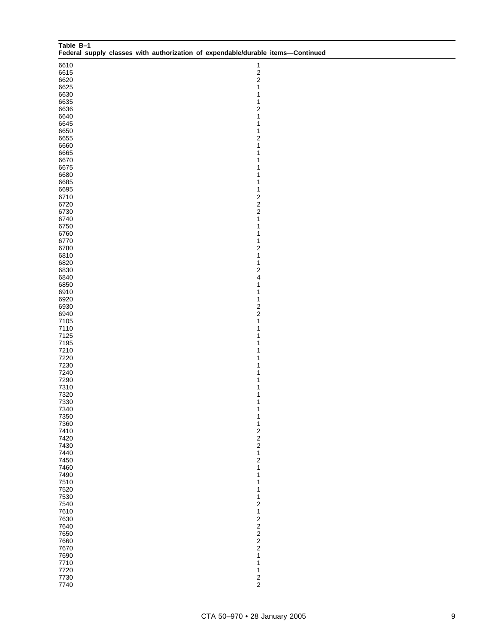| Table B-1<br>Federal supply classes with authorization of expendable/durable items-Continued |                                            |
|----------------------------------------------------------------------------------------------|--------------------------------------------|
| 6610                                                                                         | $\mathbf{1}$                               |
| 6615                                                                                         | $\frac{2}{2}$                              |
| 6620                                                                                         | $\mathbf{1}$                               |
| 6625<br>6630                                                                                 | $\mathbf{1}$                               |
| 6635                                                                                         | $\mathbf{1}$                               |
| 6636                                                                                         | $\overline{\mathbf{c}}$                    |
| 6640                                                                                         | $\mathbf{1}$                               |
| 6645                                                                                         | $\mathbf{1}$                               |
| 6650<br>6655                                                                                 | $\mathbf{1}$<br>$\overline{\mathbf{c}}$    |
| 6660                                                                                         | $\mathbf{1}$                               |
| 6665                                                                                         | $\mathbf{1}$                               |
| 6670                                                                                         | 1                                          |
| 6675<br>6680                                                                                 | 1<br>$\mathbf 1$                           |
| 6685                                                                                         | $\mathbf 1$                                |
| 6695                                                                                         | $\mathbf{1}$                               |
| 6710                                                                                         | $\begin{array}{c} 2 \\ 2 \\ 2 \end{array}$ |
| 6720                                                                                         |                                            |
| 6730<br>6740                                                                                 | $\mathbf{1}$                               |
| 6750                                                                                         | $\mathbf{1}$                               |
| 6760                                                                                         | $\mathbf 1$                                |
| 6770                                                                                         | $\mathbf{1}$                               |
| 6780<br>6810                                                                                 | $\overline{\mathbf{c}}$<br>$\mathbf{1}$    |
| 6820                                                                                         | $\mathbf{1}$                               |
| 6830                                                                                         | $\overline{\mathbf{c}}$                    |
| 6840                                                                                         | 4                                          |
| 6850                                                                                         | $\mathbf{1}$                               |
| 6910<br>6920                                                                                 | $\mathbf{1}$<br>$\mathbf{1}$               |
| 6930                                                                                         |                                            |
| 6940                                                                                         | $\frac{2}{2}$                              |
| 7105                                                                                         | $\mathbf{1}$                               |
| 7110<br>7125                                                                                 | $\mathbf{1}$<br>1                          |
| 7195                                                                                         | 1                                          |
| 7210                                                                                         | 1                                          |
| 7220                                                                                         | $\mathbf 1$                                |
| 7230<br>7240                                                                                 | 1                                          |
| 7290                                                                                         | 1<br>1                                     |
| 7310                                                                                         | $\mathbf 1$                                |
| 7320                                                                                         | 1                                          |
| 7330                                                                                         | 1                                          |
| 7340<br>7350                                                                                 | 1<br>$\mathbf{1}$                          |
| 7360                                                                                         | 1                                          |
| 7410                                                                                         | $\begin{array}{c} 2 \\ 2 \\ 2 \end{array}$ |
| 7420                                                                                         |                                            |
| 7430<br>7440                                                                                 | $\mathbf 1$                                |
| 7450                                                                                         | $\sqrt{2}$                                 |
| 7460                                                                                         | $\mathbf 1$                                |
| 7490                                                                                         | 1                                          |
| 7510<br>7520                                                                                 | 1<br>1                                     |
| 7530                                                                                         | 1                                          |
| 7540                                                                                         | $\overline{\mathbf{c}}$                    |
| 7610                                                                                         | $\mathbf{1}$                               |
| 7630                                                                                         | $2222$<br>$222$                            |
| 7640<br>7650                                                                                 |                                            |
| 7660                                                                                         |                                            |
| 7670                                                                                         |                                            |
| 7690                                                                                         | 1                                          |
| 7710<br>7720                                                                                 | 1<br>1                                     |
| 7730                                                                                         |                                            |
| 7740                                                                                         | $\frac{2}{2}$                              |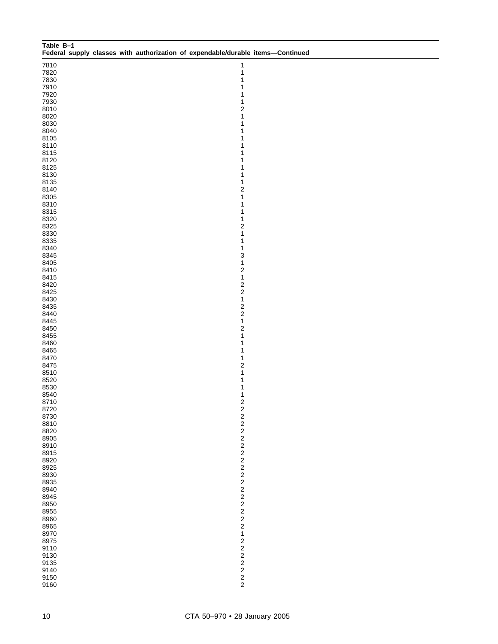| Table B-1    |  |  | Federal supply classes with authorization of expendable/durable items-Continued |  |
|--------------|--|--|---------------------------------------------------------------------------------|--|
|              |  |  |                                                                                 |  |
| 7810<br>7820 |  |  | 1<br>1                                                                          |  |
| 7830         |  |  | 1                                                                               |  |
| 7910         |  |  | 1                                                                               |  |
| 7920         |  |  | 1                                                                               |  |
| 7930         |  |  | 1                                                                               |  |
| 8010         |  |  | $\overline{\mathbf{c}}$                                                         |  |
| 8020         |  |  | 1                                                                               |  |
| 8030<br>8040 |  |  | 1<br>1                                                                          |  |
| 8105         |  |  | 1                                                                               |  |
| 8110         |  |  | 1                                                                               |  |
| 8115         |  |  | 1                                                                               |  |
| 8120         |  |  | 1                                                                               |  |
| 8125         |  |  | 1                                                                               |  |
| 8130         |  |  | 1                                                                               |  |
| 8135<br>8140 |  |  | 1<br>$\overline{\mathbf{c}}$                                                    |  |
| 8305         |  |  | 1                                                                               |  |
| 8310         |  |  | 1                                                                               |  |
| 8315         |  |  | 1                                                                               |  |
| 8320         |  |  | 1                                                                               |  |
| 8325         |  |  | $\overline{\mathbf{c}}$                                                         |  |
| 8330         |  |  | $\mathbf 1$                                                                     |  |
| 8335         |  |  | 1                                                                               |  |
| 8340<br>8345 |  |  | 1<br>3                                                                          |  |
| 8405         |  |  | $\mathbf{1}$                                                                    |  |
| 8410         |  |  | $\overline{c}$                                                                  |  |
| 8415         |  |  | $\mathbf{1}$                                                                    |  |
| 8420         |  |  | $\overline{\mathbf{c}}$                                                         |  |
| 8425         |  |  | $\overline{c}$                                                                  |  |
| 8430         |  |  | $\mathbf{1}$                                                                    |  |
| 8435<br>8440 |  |  | $\overline{\mathbf{c}}$<br>$\overline{c}$                                       |  |
| 8445         |  |  | $\mathbf{1}$                                                                    |  |
| 8450         |  |  | $\overline{\mathbf{c}}$                                                         |  |
| 8455         |  |  | 1                                                                               |  |
| 8460         |  |  | 1                                                                               |  |
| 8465         |  |  | 1                                                                               |  |
| 8470         |  |  | 1                                                                               |  |
| 8475         |  |  | $\overline{\mathbf{c}}$<br>1                                                    |  |
| 8510<br>8520 |  |  | 1                                                                               |  |
| 8530         |  |  | 1                                                                               |  |
| 8540         |  |  | 1                                                                               |  |
| 8710         |  |  | $\overline{c}$                                                                  |  |
| 8720         |  |  | $\overline{\mathbf{c}}$                                                         |  |
| 8730         |  |  | 2222222222222                                                                   |  |
| 8810<br>8820 |  |  |                                                                                 |  |
| 8905         |  |  |                                                                                 |  |
| 8910         |  |  |                                                                                 |  |
| 8915         |  |  |                                                                                 |  |
| 8920         |  |  |                                                                                 |  |
| 8925         |  |  |                                                                                 |  |
| 8930         |  |  |                                                                                 |  |
| 8935         |  |  |                                                                                 |  |
| 8940<br>8945 |  |  |                                                                                 |  |
| 8950         |  |  |                                                                                 |  |
| 8955         |  |  |                                                                                 |  |
| 8960         |  |  |                                                                                 |  |
| 8965         |  |  | $\overline{c}$                                                                  |  |
| 8970         |  |  | $\mathbf 1$                                                                     |  |
| 8975         |  |  | $\overline{\mathbf{c}}$                                                         |  |
| 9110<br>9130 |  |  |                                                                                 |  |
| 9135         |  |  |                                                                                 |  |
| 9140         |  |  |                                                                                 |  |
| 9150         |  |  | 22222                                                                           |  |
| 9160         |  |  |                                                                                 |  |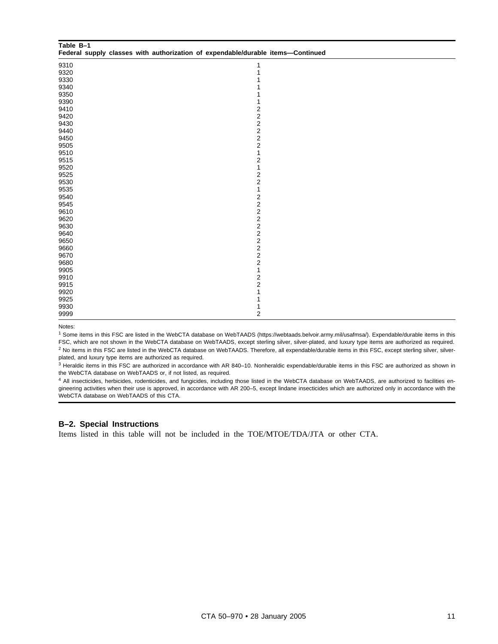| Table B-1 | Federal supply classes with authorization of expendable/durable items-Continued |  |
|-----------|---------------------------------------------------------------------------------|--|
| 9310      | 1                                                                               |  |
| 9320      | 1                                                                               |  |
| 9330      |                                                                                 |  |
| 9340      |                                                                                 |  |
| 9350      |                                                                                 |  |
| 9390      |                                                                                 |  |
| 9410      | 2                                                                               |  |
| 9420      | $\overline{\mathbf{c}}$                                                         |  |
| 9430      | $\overline{\mathbf{c}}$                                                         |  |
| 9440      |                                                                                 |  |
| 9450      | $\frac{2}{2}$                                                                   |  |
| 9505      | $\overline{\mathbf{c}}$                                                         |  |
| 9510      | 1                                                                               |  |
| 9515      | $\overline{\mathbf{c}}$                                                         |  |
| 9520      | 1                                                                               |  |
| 9525      | $\overline{\mathbf{c}}$                                                         |  |
| 9530      | 2                                                                               |  |
| 9535      | 1                                                                               |  |
| 9540      | 2                                                                               |  |
| 9545      | $\overline{\mathbf{c}}$                                                         |  |
| 9610      | $\overline{\mathbf{c}}$                                                         |  |
| 9620      | $\boldsymbol{2}$                                                                |  |
| 9630      | $\overline{\mathbf{c}}$                                                         |  |
| 9640      | $\overline{c}$                                                                  |  |
| 9650      | $\overline{\mathbf{c}}$                                                         |  |
| 9660      | $\boldsymbol{2}$                                                                |  |
| 9670      | $\boldsymbol{2}$                                                                |  |
| 9680      | $\boldsymbol{2}$                                                                |  |
| 9905      | $\mathbf{1}$                                                                    |  |
| 9910      | $\overline{\mathbf{c}}$                                                         |  |
| 9915      | $\overline{\mathbf{c}}$                                                         |  |
| 9920      | 1                                                                               |  |
| 9925      |                                                                                 |  |
| 9930      |                                                                                 |  |
| 9999      | 2                                                                               |  |

Notes:

<sup>1</sup> Some items in this FSC are listed in the WebCTA database on WebTAADS (https://webtaads.belvoir.army.mil/usafmsa/). Expendable/durable items in this FSC, which are not shown in the WebCTA database on WebTAADS, except sterling silver, silver-plated, and luxury type items are authorized as required. <sup>2</sup> No items in this FSC are listed in the WebCTA database on WebTAADS. Therefore, all expendable/durable items in this FSC, except sterling silver, silverplated, and luxury type items are authorized as required.

<sup>3</sup> Heraldic items in this FSC are authorized in accordance with AR 840–10. Nonheraldic expendable/durable items in this FSC are authorized as shown in the WebCTA database on WebTAADS or, if not listed, as required.

<sup>4</sup> All insecticides, herbicides, rodenticides, and fungicides, including those listed in the WebCTA database on WebTAADS, are authorized to facilities engineering activities when their use is approved, in accordance with AR 200–5, except lindane insecticides which are authorized only in accordance with the WebCTA database on WebTAADS of this CTA.

#### **B–2. Special Instructions**

Items listed in this table will not be included in the TOE/MTOE/TDA/JTA or other CTA.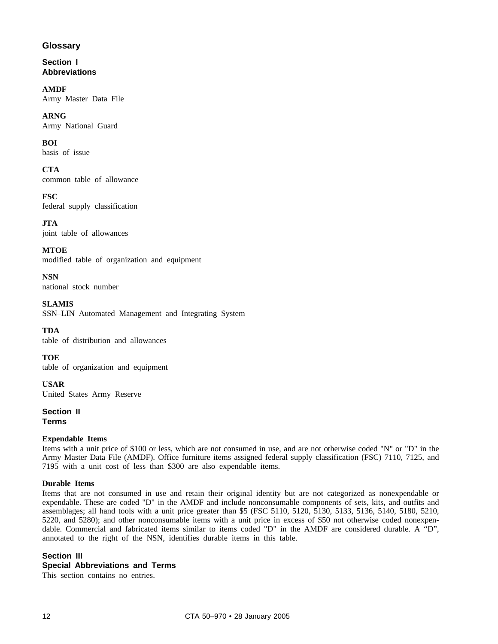# **Glossary**

**Section I Abbreviations**

**AMDF** Army Master Data File

**ARNG** Army National Guard

**BOI** basis of issue

**CTA** common table of allowance

**FSC** federal supply classification

**JTA** joint table of allowances

**MTOE** modified table of organization and equipment

**NSN** national stock number

**SLAMIS** SSN–LIN Automated Management and Integrating System

**TDA** table of distribution and allowances

**TOE** table of organization and equipment

**USAR** United States Army Reserve

**Section II**

**Terms**

# **Expendable Items**

Items with a unit price of \$100 or less, which are not consumed in use, and are not otherwise coded "N" or "D" in the Army Master Data File (AMDF). Office furniture items assigned federal supply classification (FSC) 7110, 7125, and 7195 with a unit cost of less than \$300 are also expendable items.

# **Durable Items**

Items that are not consumed in use and retain their original identity but are not categorized as nonexpendable or expendable. These are coded "D" in the AMDF and include nonconsumable components of sets, kits, and outfits and assemblages; all hand tools with a unit price greater than \$5 (FSC 5110, 5120, 5130, 5133, 5136, 5140, 5180, 5210, 5220, and 5280); and other nonconsumable items with a unit price in excess of \$50 not otherwise coded nonexpendable. Commercial and fabricated items similar to items coded "D" in the AMDF are considered durable. A "D", annotated to the right of the NSN, identifies durable items in this table.

# **Section III**

# **Special Abbreviations and Terms**

This section contains no entries.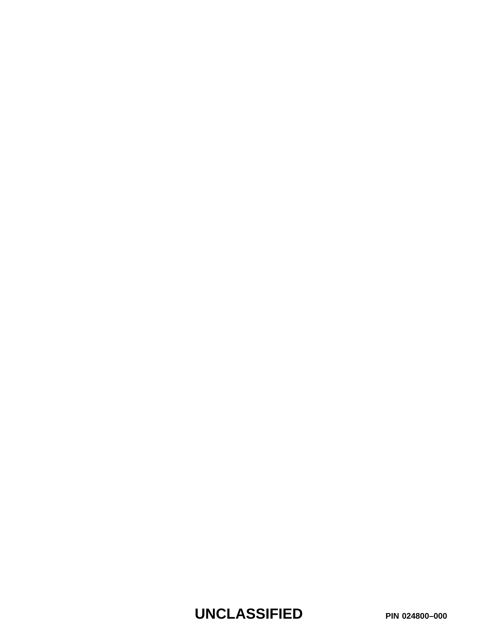**UNCLASSIFIED PIN 024800–000**